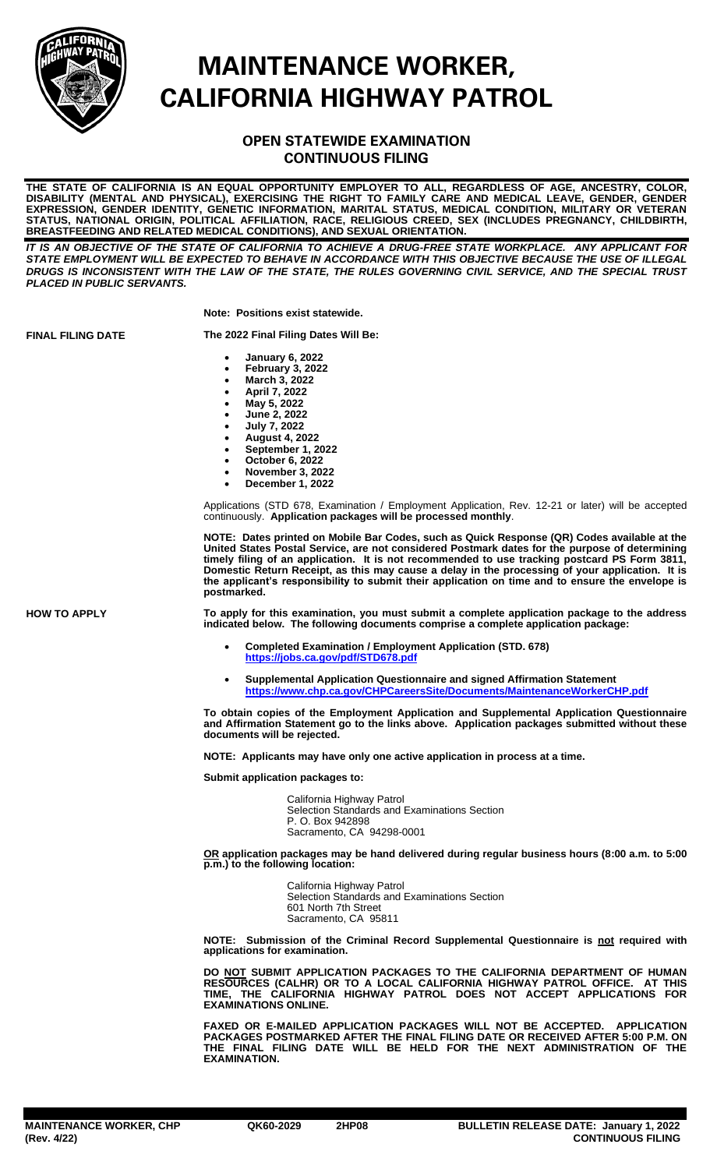

## **MAINTENANCE WORKER, CALIFORNIA HIGHWAY PATROL**

## **OPEN STATEWIDE EXAMINATION CONTINUOUS FILING**

**THE STATE OF CALIFORNIA IS AN EQUAL OPPORTUNITY EMPLOYER TO ALL, REGARDLESS OF AGE, ANCESTRY, COLOR, DISABILITY (MENTAL AND PHYSICAL), EXERCISING THE RIGHT TO FAMILY CARE AND MEDICAL LEAVE, GENDER, GENDER EXPRESSION, GENDER IDENTITY, GENETIC INFORMATION, MARITAL STATUS, MEDICAL CONDITION, MILITARY OR VETERAN STATUS, NATIONAL ORIGIN, POLITICAL AFFILIATION, RACE, RELIGIOUS CREED, SEX (INCLUDES PREGNANCY, CHILDBIRTH, BREASTFEEDING AND RELATED MEDICAL CONDITIONS), AND SEXUAL ORIENTATION.**

*IT IS AN OBJECTIVE OF THE STATE OF CALIFORNIA TO ACHIEVE A DRUG-FREE STATE WORKPLACE. ANY APPLICANT FOR STATE EMPLOYMENT WILL BE EXPECTED TO BEHAVE IN ACCORDANCE WITH THIS OBJECTIVE BECAUSE THE USE OF ILLEGAL DRUGS IS INCONSISTENT WITH THE LAW OF THE STATE, THE RULES GOVERNING CIVIL SERVICE, AND THE SPECIAL TRUST PLACED IN PUBLIC SERVANTS.*

**Note: Positions exist statewide.**

**FINAL FILING DATE The 2022 Final Filing Dates Will Be:**

- **January 6, 2022**
- **February 3, 2022**
- **March 3, 2022**
- **April 7, 2022**
- **May 5, 2022**
- **June 2, 2022** • **July 7, 2022**
- **August 4, 2022**
- **September 1, 2022**
- **October 6, 2022**
- **November 3, 2022**
- **December 1, 2022**

Applications (STD 678, Examination / Employment Application, Rev. 12-21 or later) will be accepted continuously. **Application packages will be processed monthly**.

**NOTE: Dates printed on Mobile Bar Codes, such as Quick Response (QR) Codes available at the United States Postal Service, are not considered Postmark dates for the purpose of determining**  timely filing of an application. It is not recommended to use tracking postcard PS Form 3811 **Domestic Return Receipt, as this may cause a delay in the processing of your application. It is the applicant's responsibility to submit their application on time and to ensure the envelope is postmarked.**

**HOW TO APPLY To apply for this examination, you must submit a complete application package to the address indicated below. The following documents comprise a complete application package:**

- **Completed Examination / Employment Application (STD. 678) <https://jobs.ca.gov/pdf/STD678.pdf>**
- **Supplemental Application Questionnaire and signed Affirmation Statement <https://www.chp.ca.gov/CHPCareersSite/Documents/MaintenanceWorkerCHP.pdf>**

**To obtain copies of the Employment Application and Supplemental Application Questionnaire and Affirmation Statement go to the links above. Application packages submitted without these documents will be rejected.**

**NOTE: Applicants may have only one active application in process at a time.**

**Submit application packages to:**

California Highway Patrol Selection Standards and Examinations Section P. O. Box 942898 Sacramento, CA 94298-0001

**OR application packages may be hand delivered during regular business hours (8:00 a.m. to 5:00 p.m.) to the following location:**

> California Highway Patrol Selection Standards and Examinations Section 601 North 7th Street Sacramento, CA 95811

**NOTE: Submission of the Criminal Record Supplemental Questionnaire is not required with applications for examination.**

**DO NOT SUBMIT APPLICATION PACKAGES TO THE CALIFORNIA DEPARTMENT OF HUMAN RESOURCES (CALHR) OR TO A LOCAL CALIFORNIA HIGHWAY PATROL OFFICE. AT THIS TIME, THE CALIFORNIA HIGHWAY PATROL DOES NOT ACCEPT APPLICATIONS FOR EXAMINATIONS ONLINE.**

**FAXED OR E-MAILED APPLICATION PACKAGES WILL NOT BE ACCEPTED. APPLICATION PACKAGES POSTMARKED AFTER THE FINAL FILING DATE OR RECEIVED AFTER 5:00 P.M. ON THE FINAL FILING DATE WILL BE HELD FOR THE NEXT ADMINISTRATION OF THE EXAMINATION.**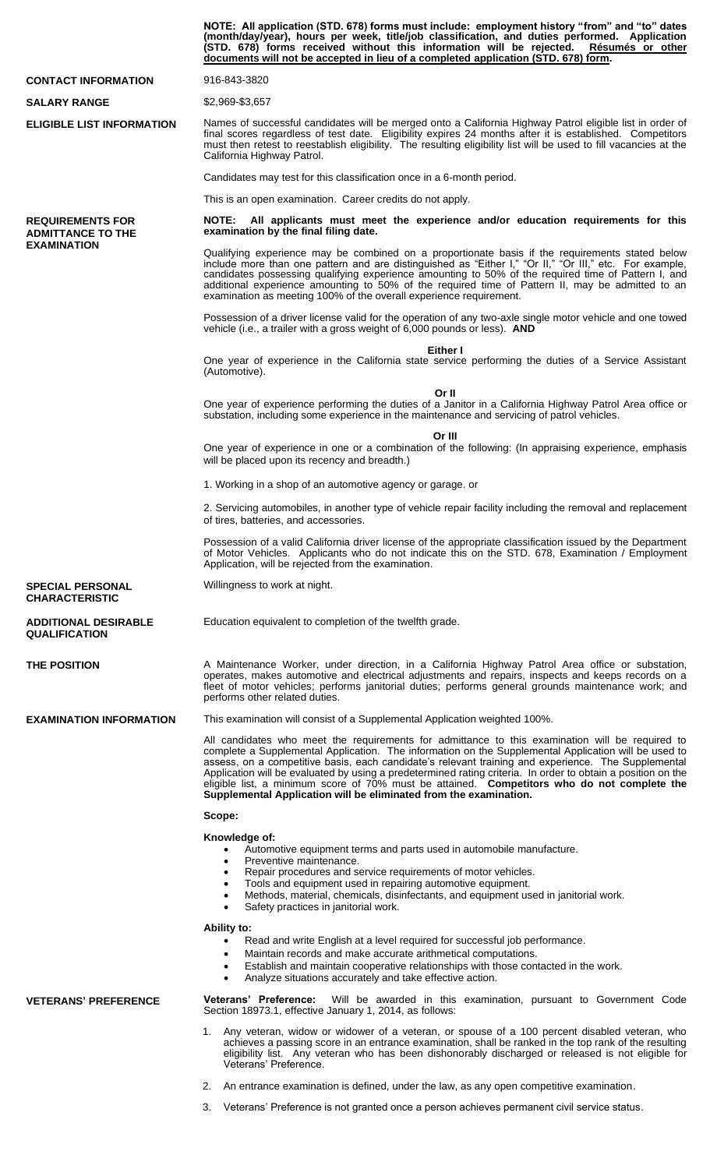|                                                                           | NOTE: All application (STD. 678) forms must include: employment history "from" and "to" dates<br>(month/day/year), hours per week, title/job classification, and duties performed. Application<br>(STD. 678) forms received without this information will be rejected. Resumes or other<br>documents will not be accepted in lieu of a completed application (STD. 678) form.                                                                                                                                                                                                                      |
|---------------------------------------------------------------------------|----------------------------------------------------------------------------------------------------------------------------------------------------------------------------------------------------------------------------------------------------------------------------------------------------------------------------------------------------------------------------------------------------------------------------------------------------------------------------------------------------------------------------------------------------------------------------------------------------|
| <b>CONTACT INFORMATION</b>                                                | 916-843-3820                                                                                                                                                                                                                                                                                                                                                                                                                                                                                                                                                                                       |
| <b>SALARY RANGE</b>                                                       | \$2,969-\$3,657                                                                                                                                                                                                                                                                                                                                                                                                                                                                                                                                                                                    |
| <b>ELIGIBLE LIST INFORMATION</b>                                          | Names of successful candidates will be merged onto a California Highway Patrol eligible list in order of<br>final scores regardless of test date. Eligibility expires 24 months after it is established. Competitors<br>must then retest to reestablish eligibility. The resulting eligibility list will be used to fill vacancies at the<br>California Highway Patrol.                                                                                                                                                                                                                            |
|                                                                           | Candidates may test for this classification once in a 6-month period.                                                                                                                                                                                                                                                                                                                                                                                                                                                                                                                              |
|                                                                           | This is an open examination. Career credits do not apply.                                                                                                                                                                                                                                                                                                                                                                                                                                                                                                                                          |
| <b>REQUIREMENTS FOR</b><br><b>ADMITTANCE TO THE</b><br><b>EXAMINATION</b> | All applicants must meet the experience and/or education requirements for this<br><b>NOTE:</b><br>examination by the final filing date.                                                                                                                                                                                                                                                                                                                                                                                                                                                            |
|                                                                           | Qualifying experience may be combined on a proportionate basis if the requirements stated below<br>include more than one pattern and are distinguished as "Either I," "Or II," "Or III," etc. For example,<br>candidates possessing qualifying experience amounting to 50% of the required time of Pattern I, and<br>additional experience amounting to 50% of the required time of Pattern II, may be admitted to an<br>examination as meeting 100% of the overall experience requirement.                                                                                                        |
|                                                                           | Possession of a driver license valid for the operation of any two-axle single motor vehicle and one towed<br>vehicle (i.e., a trailer with a gross weight of 6,000 pounds or less). AND                                                                                                                                                                                                                                                                                                                                                                                                            |
|                                                                           | Either I<br>One year of experience in the California state service performing the duties of a Service Assistant<br>(Automotive).                                                                                                                                                                                                                                                                                                                                                                                                                                                                   |
|                                                                           | Or II<br>One year of experience performing the duties of a Janitor in a California Highway Patrol Area office or<br>substation, including some experience in the maintenance and servicing of patrol vehicles.                                                                                                                                                                                                                                                                                                                                                                                     |
|                                                                           | Or III<br>One year of experience in one or a combination of the following: (In appraising experience, emphasis<br>will be placed upon its recency and breadth.)                                                                                                                                                                                                                                                                                                                                                                                                                                    |
|                                                                           | 1. Working in a shop of an automotive agency or garage. or                                                                                                                                                                                                                                                                                                                                                                                                                                                                                                                                         |
|                                                                           | 2. Servicing automobiles, in another type of vehicle repair facility including the removal and replacement<br>of tires, batteries, and accessories.                                                                                                                                                                                                                                                                                                                                                                                                                                                |
|                                                                           | Possession of a valid California driver license of the appropriate classification issued by the Department<br>of Motor Vehicles. Applicants who do not indicate this on the STD. 678, Examination / Employment<br>Application, will be rejected from the examination.                                                                                                                                                                                                                                                                                                                              |
| <b>SPECIAL PERSONAL</b><br><b>CHARACTERISTIC</b>                          | Willingness to work at night.                                                                                                                                                                                                                                                                                                                                                                                                                                                                                                                                                                      |
| <b>ADDITIONAL DESIRABLE</b><br><b>QUALIFICATION</b>                       | Education equivalent to completion of the twelfth grade.                                                                                                                                                                                                                                                                                                                                                                                                                                                                                                                                           |
| <b>THE POSITION</b>                                                       | A Maintenance Worker, under direction, in a California Highway Patrol Area office or substation,<br>operates, makes automotive and electrical adjustments and repairs, inspects and keeps records on a<br>fleet of motor vehicles; performs janitorial duties; performs general grounds maintenance work; and<br>performs other related duties.                                                                                                                                                                                                                                                    |
| <b>EXAMINATION INFORMATION</b>                                            | This examination will consist of a Supplemental Application weighted 100%.                                                                                                                                                                                                                                                                                                                                                                                                                                                                                                                         |
|                                                                           | All candidates who meet the requirements for admittance to this examination will be required to<br>complete a Supplemental Application. The information on the Supplemental Application will be used to<br>assess, on a competitive basis, each candidate's relevant training and experience. The Supplemental<br>Application will be evaluated by using a predetermined rating criteria. In order to obtain a position on the<br>eligible list, a minimum score of 70% must be attained. Competitors who do not complete the<br>Supplemental Application will be eliminated from the examination. |
|                                                                           | Scope:                                                                                                                                                                                                                                                                                                                                                                                                                                                                                                                                                                                             |
|                                                                           | Knowledge of:<br>Automotive equipment terms and parts used in automobile manufacture.<br>Preventive maintenance.<br>$\bullet$<br>Repair procedures and service requirements of motor vehicles.<br>$\bullet$<br>Tools and equipment used in repairing automotive equipment.<br>$\bullet$                                                                                                                                                                                                                                                                                                            |
|                                                                           | Methods, material, chemicals, disinfectants, and equipment used in janitorial work.<br>$\bullet$<br>Safety practices in janitorial work.<br>$\bullet$                                                                                                                                                                                                                                                                                                                                                                                                                                              |
|                                                                           | <b>Ability to:</b><br>Read and write English at a level required for successful job performance.<br>$\bullet$                                                                                                                                                                                                                                                                                                                                                                                                                                                                                      |
|                                                                           | Maintain records and make accurate arithmetical computations.<br>$\bullet$<br>Establish and maintain cooperative relationships with those contacted in the work.<br>$\bullet$<br>Analyze situations accurately and take effective action.<br>٠                                                                                                                                                                                                                                                                                                                                                     |
| <b>VETERANS' PREFERENCE</b>                                               | Veterans' Preference:<br>Will be awarded in this examination, pursuant to Government Code<br>Section 18973.1, effective January 1, 2014, as follows:                                                                                                                                                                                                                                                                                                                                                                                                                                               |
|                                                                           | Any veteran, widow or widower of a veteran, or spouse of a 100 percent disabled veteran, who<br>1.<br>achieves a passing score in an entrance examination, shall be ranked in the top rank of the resulting<br>eligibility list. Any veteran who has been dishonorably discharged or released is not eligible for<br>Veterans' Preference.                                                                                                                                                                                                                                                         |
|                                                                           | An entrance examination is defined, under the law, as any open competitive examination.<br>2.                                                                                                                                                                                                                                                                                                                                                                                                                                                                                                      |

3. Veterans' Preference is not granted once a person achieves permanent civil service status.